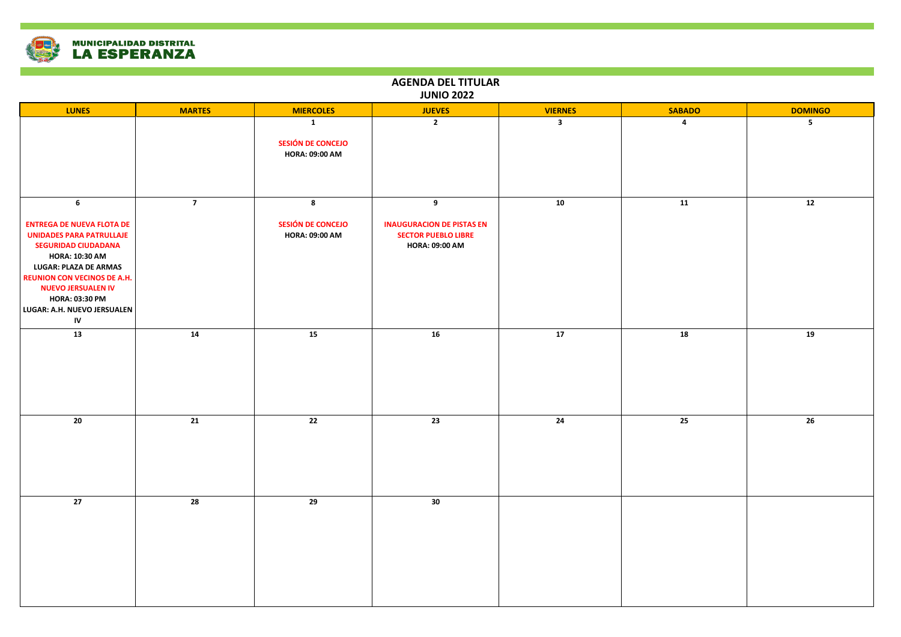

## **LUNES MARTES MIERCOLES JUEVES VIERNES SABADO DOMINGO 1 SESIÓN DE CONCEJO HORA: 09:00 AM 2 3 4 5 6 ENTREGA DE NUEVA FLOTA DE UNIDADES PARA PATRULLAJE SEGURIDAD CIUDADANA HORA: 10:30 AM LUGAR: PLAZA DE ARMAS REUNION CON VECINOS DE A.H. NUEVO JERSUALEN IV HORA: 03:30 PM LUGAR: A.H. NUEVO JERSUALEN IV 7 8 SESIÓN DE CONCEJO HORA: 09:00 AM 9 INAUGURACION DE PISTAS EN SECTOR PUEBLO LIBRE HORA: 09:00 AM 10 11 12 13 14 15 16 17 18 19 20 21 22 23 24 25 26 27 28 29 30 AGENDA DEL TITULAR JUNIO 2022**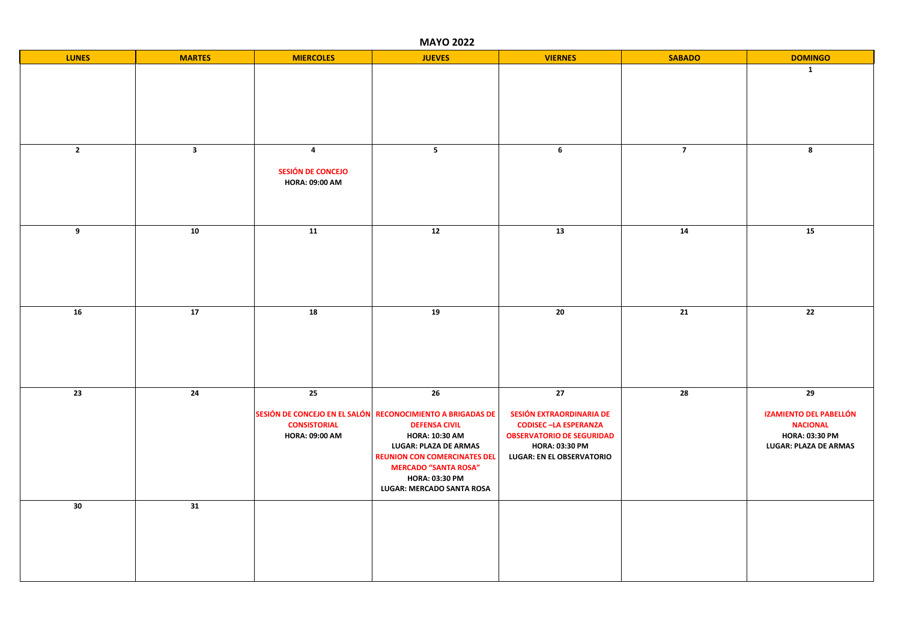| <b>MAYO 2022</b>        |                 |                                                                       |                                                                                                                                                                                                                                                                        |                                                                                                                                                                             |                 |                                                                                                          |  |
|-------------------------|-----------------|-----------------------------------------------------------------------|------------------------------------------------------------------------------------------------------------------------------------------------------------------------------------------------------------------------------------------------------------------------|-----------------------------------------------------------------------------------------------------------------------------------------------------------------------------|-----------------|----------------------------------------------------------------------------------------------------------|--|
| <b>LUNES</b>            | <b>MARTES</b>   | <b>MIERCOLES</b>                                                      | <b>JUEVES</b>                                                                                                                                                                                                                                                          | <b>VIERNES</b>                                                                                                                                                              | <b>SABADO</b>   | <b>DOMINGO</b>                                                                                           |  |
|                         |                 |                                                                       |                                                                                                                                                                                                                                                                        |                                                                                                                                                                             |                 | $\mathbf{1}$                                                                                             |  |
| $\overline{\mathbf{2}}$ | 3 <sup>1</sup>  | $\overline{\mathbf{4}}$<br>SESIÓN DE CONCEJO<br><b>HORA: 09:00 AM</b> | 5 <sub>1</sub>                                                                                                                                                                                                                                                         | $6\phantom{.}$                                                                                                                                                              | $\overline{7}$  | 8                                                                                                        |  |
| 9                       | 10              | $\overline{11}$                                                       | 12                                                                                                                                                                                                                                                                     | 13                                                                                                                                                                          | 14              | 15                                                                                                       |  |
| 16                      | $\overline{17}$ | $\overline{18}$                                                       | 19                                                                                                                                                                                                                                                                     | $\overline{20}$                                                                                                                                                             | $\overline{21}$ | $\overline{22}$                                                                                          |  |
| 23                      | 24              | 25<br><b>CONSISTORIAL</b><br><b>HORA: 09:00 AM</b>                    | 26<br>SESIÓN DE CONCEJO EN EL SALÓN RECONOCIMIENTO A BRIGADAS DE<br><b>DEFENSA CIVIL</b><br><b>HORA: 10:30 AM</b><br>LUGAR: PLAZA DE ARMAS<br><b>REUNION CON COMERCINATES DEL</b><br><b>MERCADO "SANTA ROSA"</b><br><b>HORA: 03:30 PM</b><br>LUGAR: MERCADO SANTA ROSA | $\overline{27}$<br>SESIÓN EXTRAORDINARIA DE<br><b>CODISEC-LA ESPERANZA</b><br><b>OBSERVATORIO DE SEGURIDAD</b><br><b>HORA: 03:30 PM</b><br><b>LUGAR: EN EL OBSERVATORIO</b> | $\overline{28}$ | 29<br><b>IZAMIENTO DEL PABELLÓN</b><br><b>NACIONAL</b><br>HORA: 03:30 PM<br><b>LUGAR: PLAZA DE ARMAS</b> |  |
| 30                      | 31              |                                                                       |                                                                                                                                                                                                                                                                        |                                                                                                                                                                             |                 |                                                                                                          |  |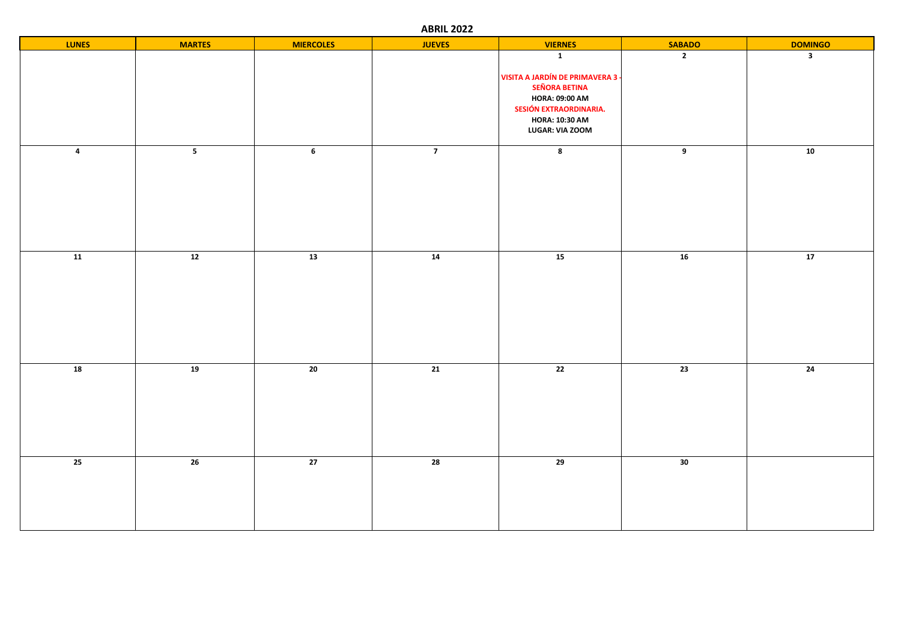**ABRIL 2022**

| <b>LUNES</b>            | <b>MARTES</b>  | <b>MIERCOLES</b> | <b>JUEVES</b>   | <b>VIERNES</b>                                                                                                                                                          | <b>SABADO</b>  | <b>DOMINGO</b>          |
|-------------------------|----------------|------------------|-----------------|-------------------------------------------------------------------------------------------------------------------------------------------------------------------------|----------------|-------------------------|
|                         |                |                  |                 | $\mathbf{1}$<br>VISITA A JARDÍN DE PRIMAVERA 3 -<br><b>SEÑORA BETINA</b><br><b>HORA: 09:00 AM</b><br>SESIÓN EXTRAORDINARIA.<br><b>HORA: 10:30 AM</b><br>LUGAR: VIA ZOOM | $\overline{2}$ | $\overline{\mathbf{3}}$ |
| $\overline{\mathbf{4}}$ | 5 <sub>1</sub> | $\bf 6$          | $\overline{7}$  | $\bf 8$                                                                                                                                                                 | $\overline{9}$ | ${\bf 10}$              |
| $\overline{11}$         | 12             | 13               | $\overline{14}$ | 15                                                                                                                                                                      | 16             | 17                      |
| 18                      | 19             | 20               | 21              | 22                                                                                                                                                                      | 23             | 24                      |
| 25                      | 26             | 27               | 28              | 29                                                                                                                                                                      | 30             |                         |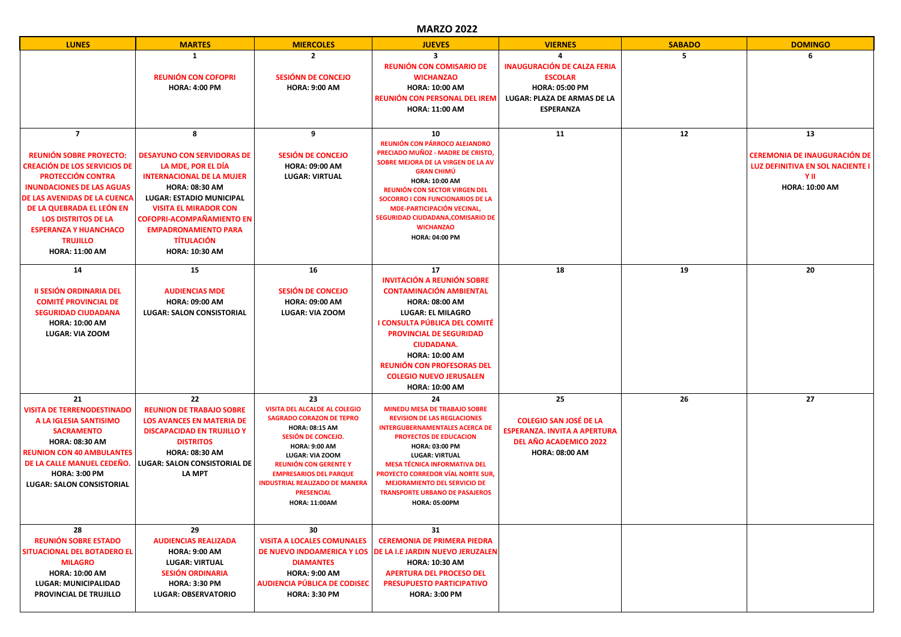## **MARZO 2022**

| <b>LUNES</b>                                                                                                                                                                                                                                                                                                                   | <b>MARTES</b>                                                                                                                                                                                                                                                                                          | <b>MIERCOLES</b>                                                                                                                                                                                                                                                                                                               | <b>JUEVES</b>                                                                                                                                                                                                                                                                                                                                                                                   | <b>VIERNES</b>                                                                                                                   | <b>SABADO</b> | <b>DOMINGO</b>                                                                                                 |
|--------------------------------------------------------------------------------------------------------------------------------------------------------------------------------------------------------------------------------------------------------------------------------------------------------------------------------|--------------------------------------------------------------------------------------------------------------------------------------------------------------------------------------------------------------------------------------------------------------------------------------------------------|--------------------------------------------------------------------------------------------------------------------------------------------------------------------------------------------------------------------------------------------------------------------------------------------------------------------------------|-------------------------------------------------------------------------------------------------------------------------------------------------------------------------------------------------------------------------------------------------------------------------------------------------------------------------------------------------------------------------------------------------|----------------------------------------------------------------------------------------------------------------------------------|---------------|----------------------------------------------------------------------------------------------------------------|
|                                                                                                                                                                                                                                                                                                                                | 1<br><b>REUNIÓN CON COFOPRI</b><br><b>HORA: 4:00 PM</b>                                                                                                                                                                                                                                                | $\mathbf{2}$<br>SESIÓNN DE CONCEJO<br><b>HORA: 9:00 AM</b>                                                                                                                                                                                                                                                                     | ર<br>REUNIÓN CON COMISARIO DE<br><b>WICHANZAO</b><br><b>HORA: 10:00 AM</b><br>REUNIÓN CON PERSONAL DEL IREM<br><b>HORA: 11:00 AM</b>                                                                                                                                                                                                                                                            | <b>INAUGURACIÓN DE CALZA FERIA</b><br><b>ESCOLAR</b><br><b>HORA: 05:00 PM</b><br>LUGAR: PLAZA DE ARMAS DE LA<br><b>ESPERANZA</b> | 5             | 6                                                                                                              |
| $\overline{7}$<br><b>REUNIÓN SOBRE PROYECTO:</b><br><b>CREACIÓN DE LOS SERVICIOS DE</b><br><b>PROTECCIÓN CONTRA</b><br><b>INUNDACIONES DE LAS AGUAS</b><br>DE LAS AVENIDAS DE LA CUENCA<br>DE LA QUEBRADA EL LEÓN EN<br><b>LOS DISTRITOS DE LA</b><br><b>ESPERANZA Y HUANCHACO</b><br><b>TRUJILLO</b><br><b>HORA: 11:00 AM</b> | 8<br><b>DESAYUNO CON SERVIDORAS DE</b><br>LA MDE, POR EL DÍA<br><b>INTERNACIONAL DE LA MUJER</b><br><b>HORA: 08:30 AM</b><br><b>LUGAR: ESTADIO MUNICIPAL</b><br><b>VISITA EL MIRADOR CON</b><br>COFOPRI-ACOMPAÑAMIENTO EN<br><b>EMPADRONAMIENTO PARA</b><br><b>TÍTULACIÓN</b><br><b>HORA: 10:30 AM</b> | 9<br><b>SESIÓN DE CONCEJO</b><br><b>HORA: 09:00 AM</b><br><b>LUGAR: VIRTUAL</b>                                                                                                                                                                                                                                                | 10<br>REUNIÓN CON PÁRROCO ALEJANDRO<br>PRECIADO MUÑOZ - MADRE DE CRISTO,<br>SOBRE MEJORA DE LA VIRGEN DE LA AV<br><b>GRAN CHIMÚ</b><br><b>HORA: 10:00 AM</b><br>REUNIÓN CON SECTOR VIRGEN DEL<br><b>SOCORRO I CON FUNCIONARIOS DE LA</b><br><b>MDE-PARTICIPACIÓN VECINAL,</b><br>SEGURIDAD CIUDADANA, COMISARIO DE<br><b>WICHANZAO</b><br><b>HORA: 04:00 PM</b>                                 | 11                                                                                                                               | 12            | 13<br><b>CEREMONIA DE INAUGURACIÓN DE</b><br>LUZ DEFINITIVA EN SOL NACIENTE I<br>Y II<br><b>HORA: 10:00 AM</b> |
| 14<br><b>II SESIÓN ORDINARIA DEL</b><br><b>COMITÉ PROVINCIAL DE</b><br><b>SEGURIDAD CIUDADANA</b><br><b>HORA: 10:00 AM</b><br>LUGAR: VIA ZOOM                                                                                                                                                                                  | 15<br><b>AUDIENCIAS MDE</b><br><b>HORA: 09:00 AM</b><br><b>LUGAR: SALON CONSISTORIAL</b>                                                                                                                                                                                                               | 16<br><b>SESIÓN DE CONCEJO</b><br><b>HORA: 09:00 AM</b><br>LUGAR: VIA ZOOM                                                                                                                                                                                                                                                     | 17<br><b>INVITACIÓN A REUNIÓN SOBRE</b><br><b>CONTAMINACIÓN AMBIENTAL</b><br><b>HORA: 08:00 AM</b><br><b>LUGAR: EL MILAGRO</b><br>I CONSULTA PÚBLICA DEL COMITÉ<br><b>PROVINCIAL DE SEGURIDAD</b><br><b>CIUDADANA.</b><br><b>HORA: 10:00 AM</b><br><b>REUNIÓN CON PROFESORAS DEL</b><br><b>COLEGIO NUEVO JERUSALEN</b><br><b>HORA: 10:00 AM</b>                                                 | 18                                                                                                                               | 19            | 20                                                                                                             |
| 21<br><b>VISITA DE TERRENODESTINADO</b><br>A LA IGLESIA SANTISIMO<br><b>SACRAMENTO</b><br><b>HORA: 08:30 AM</b><br><b>REUNION CON 40 AMBULANTES</b><br>DE LA CALLE MANUEL CEDEÑO.<br><b>HORA: 3:00 PM</b><br><b>LUGAR: SALON CONSISTORIAL</b>                                                                                  | 22<br><b>REUNION DE TRABAJO SOBRE</b><br><b>LOS AVANCES EN MATERIA DE</b><br><b>DISCAPACIDAD EN TRUJILLO Y</b><br><b>DISTRITOS</b><br><b>HORA: 08:30 AM</b><br>LUGAR: SALON CONSISTORIAL DE<br>LA MPT                                                                                                  | 23<br>VISITA DEL ALCALDE AL COLEGIO<br><b>SAGRADO CORAZON DE TEPRO</b><br><b>HORA: 08:15 AM</b><br>SESIÓN DE CONCEJO.<br><b>HORA: 9:00 AM</b><br><b>LUGAR: VIA ZOOM</b><br><b>REUNIÓN CON GERENTE Y</b><br><b>EMPRESARIOS DEL PARQUE</b><br><b>INDUSTRIAL REALIZADO DE MANERA</b><br><b>PRESENCIAL</b><br><b>HORA: 11:00AM</b> | 24<br><b>MINEDU MESA DE TRABAJO SOBRE</b><br><b>REVISION DE LAS REGLACIONES</b><br><b>INTERGUBERNAMENTALES ACERCA DE</b><br><b>PROYECTOS DE EDUCACION</b><br><b>HORA: 03:00 PM</b><br><b>LUGAR: VIRTUAL</b><br><b>MESA TÉCNICA INFORMATIVA DEL</b><br>PROYECTO CORREDOR VÍAL NORTE SUR,<br><b>MEJORAMIENTO DEL SERVICIO DE</b><br><b>TRANSPORTE URBANO DE PASAJEROS</b><br><b>HORA: 05:00PM</b> | 25<br><b>COLEGIO SAN JOSÉ DE LA</b><br><b>ESPERANZA. INVITA A APERTURA</b><br>DEL AÑO ACADEMICO 2022<br><b>HORA: 08:00 AM</b>    | 26            | 27                                                                                                             |
| 28<br><b>REUNIÓN SOBRE ESTADO</b><br>SITUACIONAL DEL BOTADERO EL<br><b>MILAGRO</b><br><b>HORA: 10:00 AM</b><br><b>LUGAR: MUNICIPALIDAD</b><br>PROVINCIAL DE TRUJILLO                                                                                                                                                           | 29<br><b>AUDIENCIAS REALIZADA</b><br><b>HORA: 9:00 AM</b><br><b>LUGAR: VIRTUAL</b><br><b>SESIÓN ORDINARIA</b><br><b>HORA: 3:30 PM</b><br><b>LUGAR: OBSERVATORIO</b>                                                                                                                                    | 30<br><b>VISITA A LOCALES COMUNALES</b><br>DE NUEVO INDOAMERICA Y LOS<br><b>DIAMANTES</b><br><b>HORA: 9:00 AM</b><br><b>AUDIENCIA PÚBLICA DE CODISEC</b><br><b>HORA: 3:30 PM</b>                                                                                                                                               | 31<br><b>CEREMONIA DE PRIMERA PIEDRA</b><br>DE LA I.E JARDIN NUEVO JERUZALEN<br><b>HORA: 10:30 AM</b><br><b>APERTURA DEL PROCESO DEL</b><br><b>PRESUPUESTO PARTICIPATIVO</b><br><b>HORA: 3:00 PM</b>                                                                                                                                                                                            |                                                                                                                                  |               |                                                                                                                |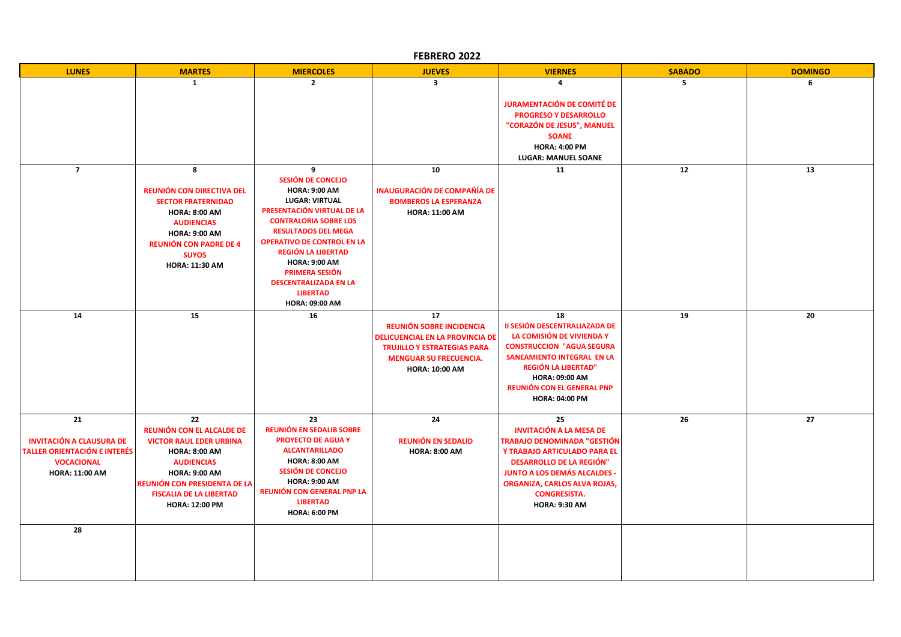| FEBRERO 2022                                                                                                               |                                                                                                                                                                                                                                          |                                                                                                                                                                                                                                                                                                                                                                    |                                                                                                                                                                                 |                                                                                                                                                                                                                                                                     |               |                |
|----------------------------------------------------------------------------------------------------------------------------|------------------------------------------------------------------------------------------------------------------------------------------------------------------------------------------------------------------------------------------|--------------------------------------------------------------------------------------------------------------------------------------------------------------------------------------------------------------------------------------------------------------------------------------------------------------------------------------------------------------------|---------------------------------------------------------------------------------------------------------------------------------------------------------------------------------|---------------------------------------------------------------------------------------------------------------------------------------------------------------------------------------------------------------------------------------------------------------------|---------------|----------------|
| <b>LUNES</b>                                                                                                               | <b>MARTES</b>                                                                                                                                                                                                                            | <b>MIERCOLES</b>                                                                                                                                                                                                                                                                                                                                                   | <b>JUEVES</b>                                                                                                                                                                   | <b>VIERNES</b>                                                                                                                                                                                                                                                      | <b>SABADO</b> | <b>DOMINGO</b> |
|                                                                                                                            | $\mathbf{1}$                                                                                                                                                                                                                             | $\overline{2}$                                                                                                                                                                                                                                                                                                                                                     | $\overline{\mathbf{3}}$                                                                                                                                                         | 4<br><b>JURAMENTACIÓN DE COMITÉ DE</b><br><b>PROGRESO Y DESARROLLO</b><br>"CORAZÓN DE JESUS", MANUEL<br><b>SOANE</b><br><b>HORA: 4:00 PM</b><br><b>LUGAR: MANUEL SOANE</b>                                                                                          | 5             | 6              |
| $\overline{7}$                                                                                                             | 8<br>REUNIÓN CON DIRECTIVA DEL<br><b>SECTOR FRATERNIDAD</b><br><b>HORA: 8:00 AM</b><br><b>AUDIENCIAS</b><br><b>HORA: 9:00 AM</b><br><b>REUNIÓN CON PADRE DE 4</b><br><b>SUYOS</b><br><b>HORA: 11:30 AM</b>                               | 9<br>SESIÓN DE CONCEJO<br><b>HORA: 9:00 AM</b><br><b>LUGAR: VIRTUAL</b><br>PRESENTACIÓN VIRTUAL DE LA<br><b>CONTRALORIA SOBRE LOS</b><br><b>RESULTADOS DEL MEGA</b><br><b>OPERATIVO DE CONTROL EN LA</b><br><b>REGIÓN LA LIBERTAD</b><br><b>HORA: 9:00 AM</b><br><b>PRIMERA SESIÓN</b><br><b>DESCENTRALIZADA EN LA</b><br><b>LIBERTAD</b><br><b>HORA: 09:00 AM</b> | 10<br><b>INAUGURACIÓN DE COMPAÑÍA DE</b><br><b>BOMBEROS LA ESPERANZA</b><br><b>HORA: 11:00 AM</b>                                                                               | 11                                                                                                                                                                                                                                                                  | 12            | 13             |
| 14                                                                                                                         | 15                                                                                                                                                                                                                                       | 16                                                                                                                                                                                                                                                                                                                                                                 | 17<br><b>REUNIÓN SOBRE INCIDENCIA</b><br><b>DELICUENCIAL EN LA PROVINCIA DE</b><br><b>TRUJILLO Y ESTRATEGIAS PARA</b><br><b>MENGUAR SU FRECUENCIA.</b><br><b>HORA: 10:00 AM</b> | 18<br>II SESIÓN DESCENTRALIAZADA DE<br>LA COMISIÓN DE VIVIENDA Y<br><b>CONSTRUCCION "AGUA SEGURA</b><br><b>SANEAMIENTO INTEGRAL EN LA</b><br><b>REGIÓN LA LIBERTAD"</b><br><b>HORA: 09:00 AM</b><br><b>REUNIÓN CON EL GENERAL PNP</b><br><b>HORA: 04:00 PM</b>      | 19            | 20             |
| 21<br><b>INVITACIÓN A CLAUSURA DE</b><br><b>TALLER ORIENTACIÓN E INTERÉS</b><br><b>VOCACIONAL</b><br><b>HORA: 11:00 AM</b> | 22<br><b>REUNIÓN CON EL ALCALDE DE</b><br><b>VICTOR RAUL EDER URBINA</b><br><b>HORA: 8:00 AM</b><br><b>AUDIENCIAS</b><br><b>HORA: 9:00 AM</b><br>REUNIÓN CON PRESIDENTA DE LA<br><b>FISCALIA DE LA LIBERTAD</b><br><b>HORA: 12:00 PM</b> | 23<br><b>REUNIÓN EN SEDALIB SOBRE</b><br><b>PROYECTO DE AGUA Y</b><br><b>ALCANTARILLADO</b><br><b>HORA: 8:00 AM</b><br>SESIÓN DE CONCEJO<br><b>HORA: 9:00 AM</b><br>REUNIÓN CON GENERAL PNP LA<br><b>LIBERTAD</b><br><b>HORA: 6:00 PM</b>                                                                                                                          | 24<br><b>REUNIÓN EN SEDALID</b><br><b>HORA: 8:00 AM</b>                                                                                                                         | 25<br><b>INVITACIÓN A LA MESA DE</b><br><b>TRABAJO DENOMINADA "GESTIÓN</b><br>Y TRABAJO ARTICULADO PARA EL<br><b>DESARROLLO DE LA REGIÓN"</b><br><b>JUNTO A LOS DEMÁS ALCALDES -</b><br>ORGANIZA, CARLOS ALVA ROJAS,<br><b>CONGRESISTA.</b><br><b>HORA: 9:30 AM</b> | 26            | 27             |
| 28                                                                                                                         |                                                                                                                                                                                                                                          |                                                                                                                                                                                                                                                                                                                                                                    |                                                                                                                                                                                 |                                                                                                                                                                                                                                                                     |               |                |